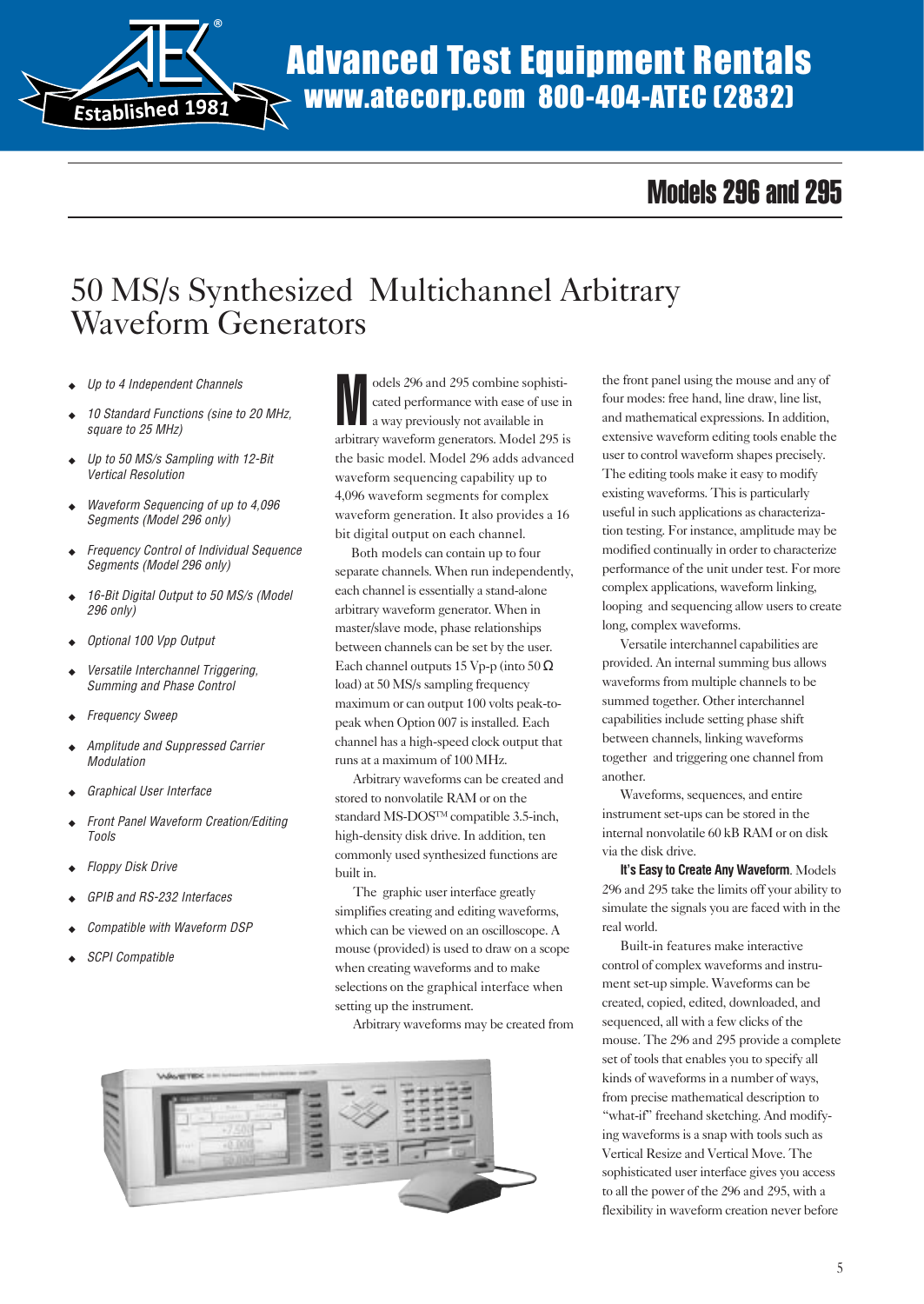

# Advanced Test Equipment Rentals www.atecorp.com 800-404-ATEC (2832)

# Models 296 and 295

# 50 MS/s Synthesized Multichannel Arbitrary Waveform Generators

- Up to 4 Independent Channels
- 10 Standard Functions (sine to 20 MHz, square to 25 MHz)
- ◆ Up to 50 MS/s Sampling with 12-Bit Vertical Resolution
- Waveform Sequencing of up to 4,096 Segments (Model 296 only)
- ◆ Frequency Control of Individual Sequence Segments (Model 296 only)
- ◆ 16-Bit Digital Output to 50 MS/s (Model 296 only)
- ◆ Optional 100 Vpp Output
- ◆ Versatile Interchannel Triggering, Summing and Phase Control
- Frequency Sweep
- Amplitude and Suppressed Carrier Modulation
- ◆ Graphical User Interface
- **Front Panel Waveform Creation/Editing** Tools
- **Floppy Disk Drive**
- GPIB and RS-232 Interfaces
- Compatible with Waveform DSP
- **SCPI Compatible**

M odels 296 and 295 combine sophisticated performance with ease of use in a way previously not available in arbitrary waveform generators. Model 295 is the basic model. Model 296 adds advanced waveform sequencing capability up to 4,096 waveform segments for complex waveform generation. It also provides a 16 bit digital output on each channel.

 Both models can contain up to four separate channels. When run independently, each channel is essentially a stand-alone arbitrary waveform generator. When in master/slave mode, phase relationships between channels can be set by the user. Each channel outputs 15 Vp-p (into  $50 \Omega$ ) load) at 50 MS/s sampling frequency maximum or can output 100 volts peak-topeak when Option 007 is installed. Each channel has a high-speed clock output that runs at a maximum of 100 MHz.

Arbitrary waveforms can be created and stored to nonvolatile RAM or on the standard MS-DOS™ compatible 3.5-inch, high-density disk drive. In addition, ten commonly used synthesized functions are built in.

The graphic user interface greatly simplifies creating and editing waveforms, which can be viewed on an oscilloscope. A mouse (provided) is used to draw on a scope when creating waveforms and to make selections on the graphical interface when setting up the instrument.

Arbitrary waveforms may be created from



the front panel using the mouse and any of four modes: free hand, line draw, line list, and mathematical expressions. In addition, extensive waveform editing tools enable the user to control waveform shapes precisely. The editing tools make it easy to modify existing waveforms. This is particularly useful in such applications as characterization testing. For instance, amplitude may be modified continually in order to characterize performance of the unit under test. For more complex applications, waveform linking, looping and sequencing allow users to create long, complex waveforms.

Versatile interchannel capabilities are provided. An internal summing bus allows waveforms from multiple channels to be summed together. Other interchannel capabilities include setting phase shift between channels, linking waveforms together and triggering one channel from another.

Waveforms, sequences, and entire instrument set-ups can be stored in the internal nonvolatile 60 kB RAM or on disk via the disk drive.

**It's Easy to Create Any Waveform**. Models 296 and 295 take the limits off your ability to simulate the signals you are faced with in the real world.

Built-in features make interactive control of complex waveforms and instrument set-up simple. Waveforms can be created, copied, edited, downloaded, and sequenced, all with a few clicks of the mouse. The 296 and 295 provide a complete set of tools that enables you to specify all kinds of waveforms in a number of ways, from precise mathematical description to "what-if" freehand sketching. And modifying waveforms is a snap with tools such as Vertical Resize and Vertical Move. The sophisticated user interface gives you access to all the power of the 296 and 295, with a flexibility in waveform creation never before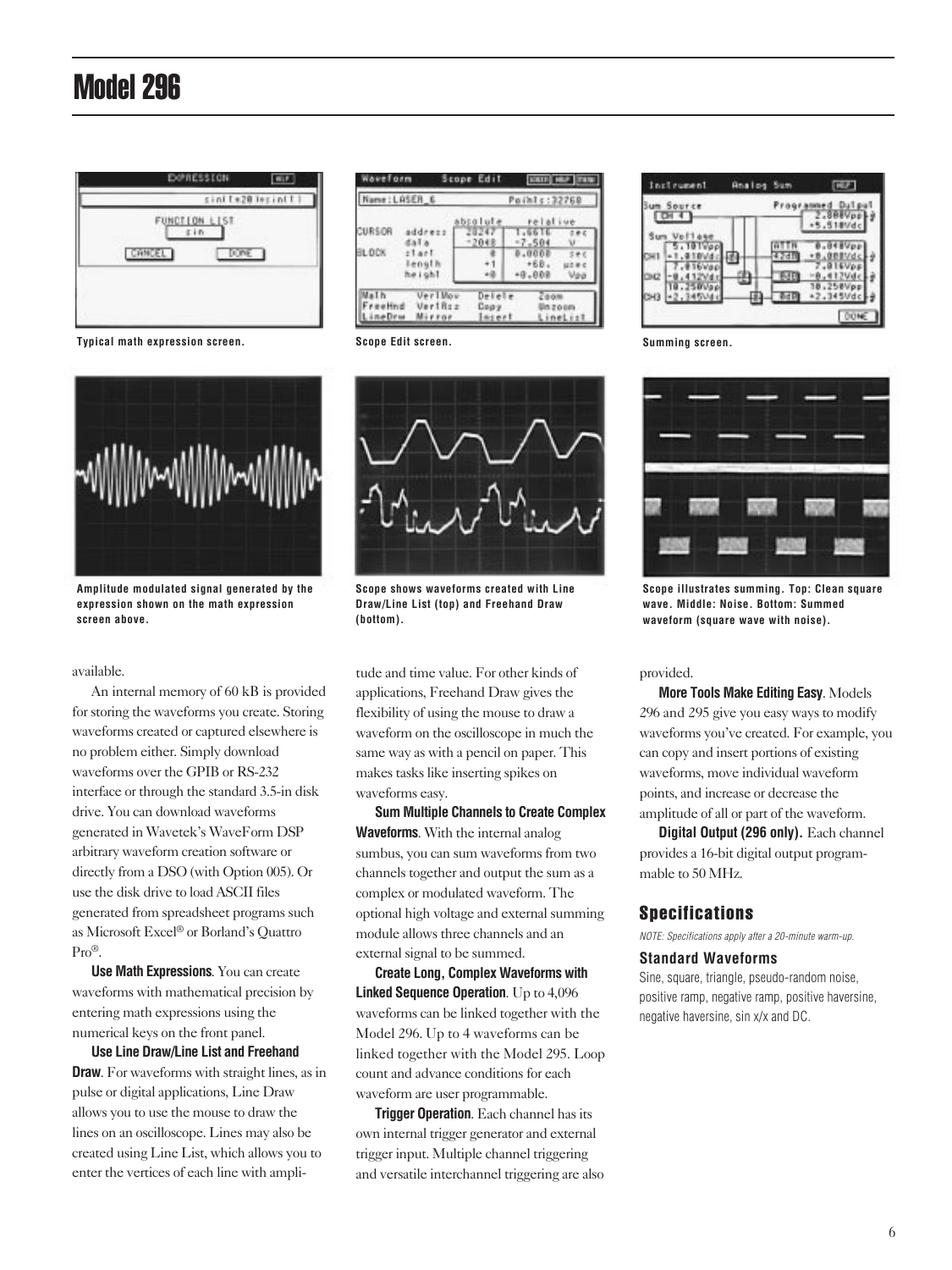

**Typical math expression screen.**



**Amplitude modulated signal generated by the expression shown on the math expression screen above.**

available.

An internal memory of 60 kB is provided for storing the waveforms you create. Storing waveforms created or captured elsewhere is no problem either. Simply download waveforms over the GPIB or RS-232 interface or through the standard 3.5-in disk drive. You can download waveforms generated in Wavetek's WaveForm DSP arbitrary waveform creation software or directly from a DSO (with Option 005). Or use the disk drive to load ASCII files generated from spreadsheet programs such as Microsoft Excel® or Borland's Quattro Pro®.

**Use Math Expressions**. You can create waveforms with mathematical precision by entering math expressions using the numerical keys on the front panel.

**Use Line Draw/Line List and Freehand Draw**. For waveforms with straight lines, as in pulse or digital applications, Line Draw allows you to use the mouse to draw the lines on an oscilloscope. Lines may also be created using Line List, which allows you to enter the vertices of each line with ampli-

|              | Name: LASER_6                |                  | Points:32768                |     |
|--------------|------------------------------|------------------|-----------------------------|-----|
|              |                              | sbsalute         | relative                    |     |
| <b>URSOR</b> | address<br>dal a             | 28247<br>$-2048$ | $-5511$<br>$-7.501$         |     |
| BL DCK       | $z1$ art<br>length<br>height |                  | 0.0002<br>$+68$<br>$+0.000$ | May |

**Scope Edit screen.**



**Scope shows waveforms created with Line Draw/Line List (top) and Freehand Draw (bottom).**

tude and time value. For other kinds of applications, Freehand Draw gives the flexibility of using the mouse to draw a waveform on the oscilloscope in much the same way as with a pencil on paper. This makes tasks like inserting spikes on waveforms easy.

**Sum Multiple Channels to Create Complex Waveforms**. With the internal analog sumbus, you can sum waveforms from two channels together and output the sum as a complex or modulated waveform. The optional high voltage and external summing module allows three channels and an external signal to be summed.

**Create Long, Complex Waveforms with Linked Sequence Operation**. Up to 4,096 waveforms can be linked together with the Model 296. Up to 4 waveforms can be linked together with the Model 295. Loop count and advance conditions for each waveform are user programmable.

**Trigger Operation**. Each channel has its own internal trigger generator and external trigger input. Multiple channel triggering and versatile interchannel triggering are also

| Incleument | <b>Analog Sum</b> |          |
|------------|-------------------|----------|
| Source     |                   | 5.51BVdc |
|            |                   |          |
|            |                   |          |
|            |                   |          |

**Summing screen.**



**Scope illustrates summing. Top: Clean square wave. Middle: Noise. Bottom: Summed waveform (square wave with noise).**

#### provided.

**More Tools Make Editing Easy**. Models 296 and 295 give you easy ways to modify waveforms you've created. For example, you can copy and insert portions of existing waveforms, move individual waveform points, and increase or decrease the amplitude of all or part of the waveform.

**Digital Output (296 only).** Each channel provides a 16-bit digital output programmable to 50 MHz.

## Specifications

NOTE: Specifications apply after a 20-minute warm-up.

#### **Standard Waveforms**

Sine, square, triangle, pseudo-random noise, positive ramp, negative ramp, positive haversine, negative haversine, sin x/x and DC.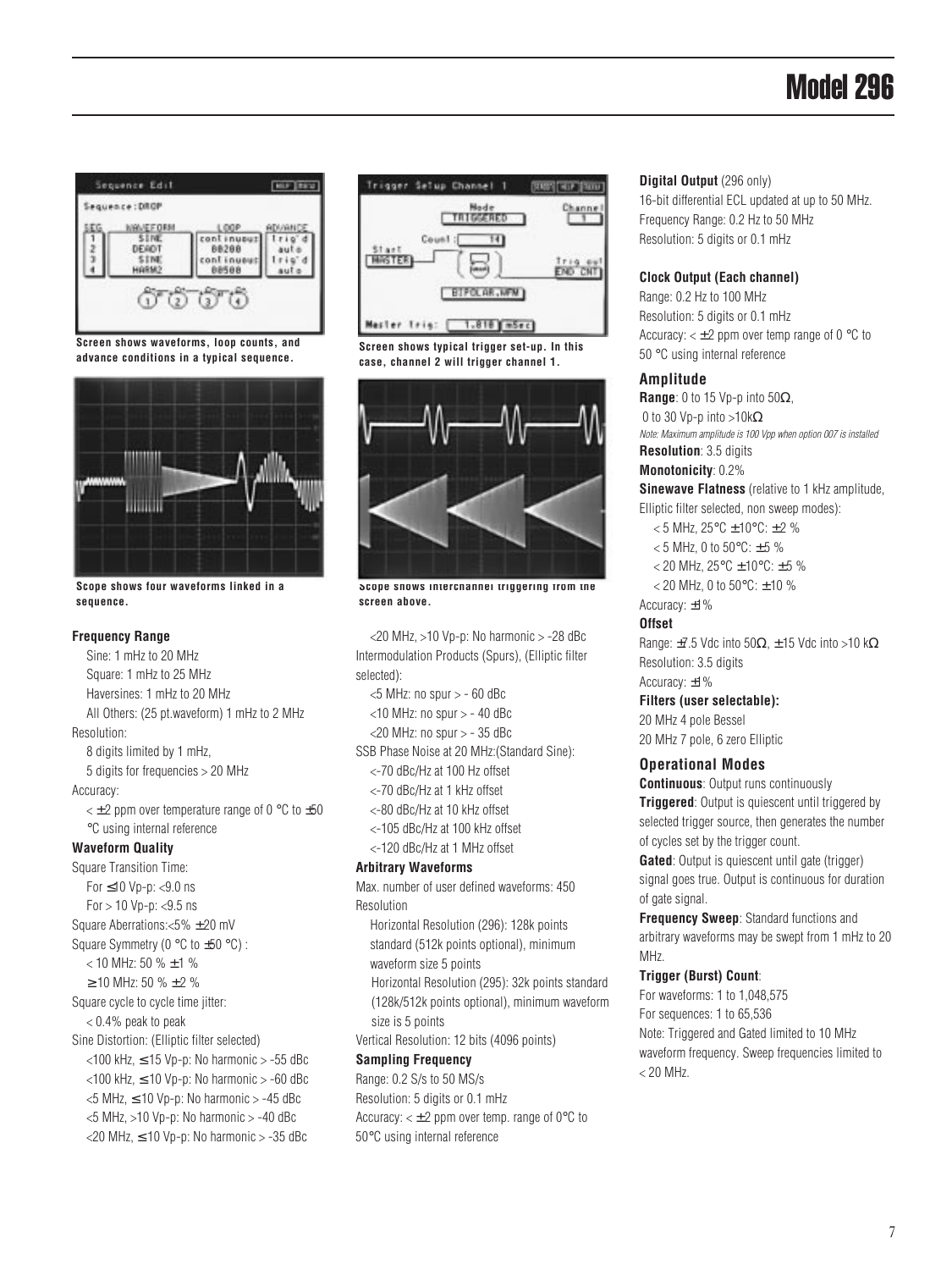

**Screen shows waveforms, loop counts, and advance conditions in a typical sequence.**



**Scope shows four waveforms linked in a sequence.**

### **Frequency Range**

Sine: 1 mHz to 20 MHz Square: 1 mHz to 25 MHz Haversines: 1 mHz to 20 MHz All Others: (25 pt.waveform) 1 mHz to 2 MHz Resolution: 8 digits limited by 1 mHz, 5 digits for frequencies > 20 MHz Accuracy:  $\lt t$  2 ppm over temperature range of 0  $\degree$ C to  $\pm$ 50 °C using internal reference **Waveform Quality** Square Transition Time: For ≤10 Vp-p: <9.0 ns  $For > 10 Vp-p: < 9.5 ns$ Square Aberrations:<5% ± 20 mV Square Symmetry (0 °C to ±50 °C) : < 10 MHz: 50 % ± 1 %  $\geq$  10 MHz: 50 %  $\pm$  2 % Square cycle to cycle time jitter: < 0.4% peak to peak Sine Distortion: (Elliptic filter selected)  $<$ 100 kHz,  $\leq$  15 Vp-p: No harmonic  $>$  -55 dBc  $<$ 100 kHz,  $\leq$  10 Vp-p: No harmonic  $>$  -60 dBc  $<$ 5 MHz,  $\leq$  10 Vp-p: No harmonic  $>$  -45 dBc  $<$ 5 MHz,  $>$ 10 Vp-p: No harmonic  $>$  -40 dBc  $<$ 20 MHz,  $\leq$  10 Vp-p: No harmonic  $>$  -35 dBc



**Screen shows typical trigger set-up. In this case, channel 2 will trigger channel 1.**



**Scope shows interchannel triggering from the screen above.**

<20 MHz, >10 Vp-p: No harmonic > -28 dBc Intermodulation Products (Spurs), (Elliptic filter selected):  $<$ 5 MHz: no spur  $>$  - 60 dBc  $<$ 10 MHz: no spur  $>$  - 40 dBc  $<$ 20 MHz: no spur  $>$  - 35 dBc SSB Phase Noise at 20 MHz:(Standard Sine): <-70 dBc/Hz at 100 Hz offset <-70 dBc/Hz at 1 kHz offset <-80 dBc/Hz at 10 kHz offset <-105 dBc/Hz at 100 kHz offset <-120 dBc/Hz at 1 MHz offset **Arbitrary Waveforms** Max. number of user defined waveforms: 450 Resolution Horizontal Resolution (296): 128k points standard (512k points optional), minimum waveform size 5 points Horizontal Resolution (295): 32k points standard (128k/512k points optional), minimum waveform size is 5 points

Vertical Resolution: 12 bits (4096 points)

## **Sampling Frequency**

Range: 0.2 S/s to 50 MS/s Resolution: 5 digits or 0.1 mHz Accuracy:  $\lt \pm 2$  ppm over temp. range of 0 $\degree$ C to 50°C using internal reference

## **Digital Output** (296 only)

16-bit differential ECL updated at up to 50 MHz. Frequency Range: 0.2 Hz to 50 MHz Resolution: 5 digits or 0.1 mHz

## **Clock Output (Each channel)**

Range: 0.2 Hz to 100 MHz Resolution: 5 digits or 0.1 mHz Accuracy:  $\lt \pm 2$  ppm over temp range of 0  $\degree$ C to 50 °C using internal reference

## **Amplitude**

**Range**: 0 to 15 Vp-p into 50Ω, 0 to 30 Vp-p into >10kΩ Note: Maximum amplitude is 100 Vpp when option 007 is installed **Resolution**: 3.5 digits

# **Monotonicity**: 0.2%

**Sinewave Flatness** (relative to 1 kHz amplitude, Elliptic filter selected, non sweep modes):

< 5 MHz, 25°C ± 10°C: ± 2 %

- $<$  5 MHz, 0 to 50 $^{\circ}$ C:  $\pm$  5 %
- $<$  20 MHz, 25°C  $\pm$  10°C:  $\pm$  5 %
- $<$  20 MHz, 0 to 50 $^{\circ}$ C:  $\pm$  10 %

## Accuracy: ±1%

## **Offset**

Range:  $\pm$ 7.5 Vdc into 50 $\Omega$ ,  $\pm$ 15 Vdc into >10 k $\Omega$ Resolution: 3.5 digits Accuracy: ±1%

## **Filters (user selectable):**

20 MHz 4 pole Bessel 20 MHz 7 pole, 6 zero Elliptic

## **Operational Modes**

**Continuous**: Output runs continuously **Triggered**: Output is quiescent until triggered by selected trigger source, then generates the number of cycles set by the trigger count.

**Gated**: Output is quiescent until gate (trigger) signal goes true. Output is continuous for duration of gate signal.

**Frequency Sweep**: Standard functions and arbitrary waveforms may be swept from 1 mHz to 20 MHz.

## **Trigger (Burst) Count**:

For waveforms: 1 to 1,048,575 For sequences: 1 to 65,536 Note: Triggered and Gated limited to 10 MHz waveform frequency. Sweep frequencies limited to  $< 20$  MHz.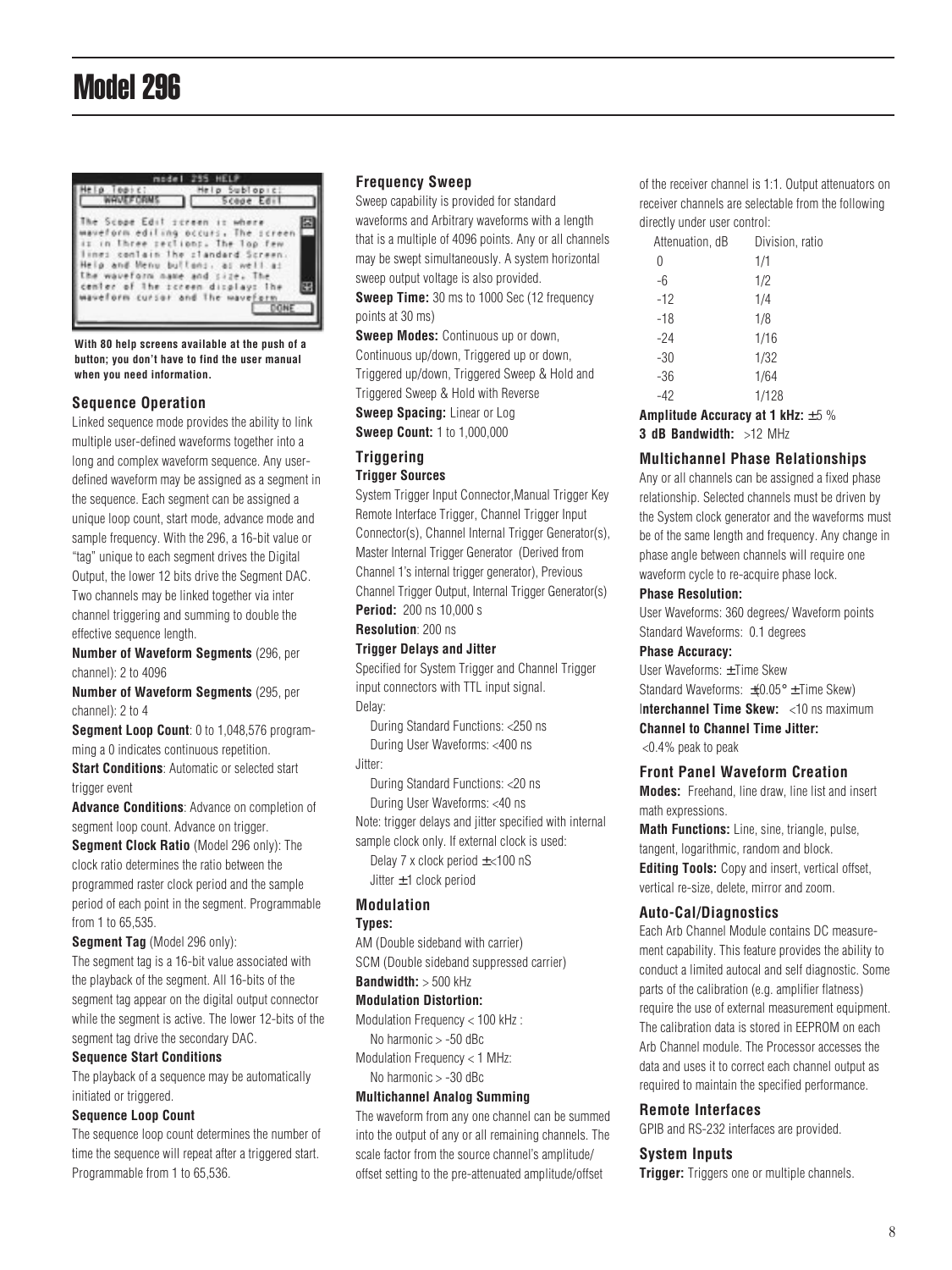

**With 80 help screens available at the push of a button; you don't have to find the user manual when you need information.**

## **Sequence Operation**

Linked sequence mode provides the ability to link multiple user-defined waveforms together into a long and complex waveform sequence. Any userdefined waveform may be assigned as a segment in the sequence. Each segment can be assigned a unique loop count, start mode, advance mode and sample frequency. With the 296, a 16-bit value or "tag" unique to each segment drives the Digital Output, the lower 12 bits drive the Segment DAC. Two channels may be linked together via inter channel triggering and summing to double the effective sequence length.

**Number of Waveform Segments** (296, per channel): 2 to 4096

**Number of Waveform Segments** (295, per channel): 2 to 4

**Segment Loop Count**: 0 to 1,048,576 programming a 0 indicates continuous repetition. **Start Conditions**: Automatic or selected start trigger event

**Advance Conditions**: Advance on completion of segment loop count. Advance on trigger.

**Segment Clock Ratio** (Model 296 only): The clock ratio determines the ratio between the programmed raster clock period and the sample period of each point in the segment. Programmable from 1 to 65,535.

**Segment Tag** (Model 296 only):

The segment tag is a 16-bit value associated with the playback of the segment. All 16-bits of the segment tag appear on the digital output connector while the segment is active. The lower 12-bits of the segment tag drive the secondary DAC.

#### **Sequence Start Conditions**

The playback of a sequence may be automatically initiated or triggered.

## **Sequence Loop Count**

The sequence loop count determines the number of time the sequence will repeat after a triggered start. Programmable from 1 to 65,536.

#### **Frequency Sweep**

Sweep capability is provided for standard waveforms and Arbitrary waveforms with a length that is a multiple of 4096 points. Any or all channels may be swept simultaneously. A system horizontal sweep output voltage is also provided.

**Sweep Time:** 30 ms to 1000 Sec (12 frequency points at 30 ms)

**Sweep Modes: Continuous up or down,** Continuous up/down, Triggered up or down, Triggered up/down, Triggered Sweep & Hold and Triggered Sweep & Hold with Reverse **Sweep Spacing:** Linear or Log

**Sweep Count:** 1 to 1,000,000

## **Triggering Trigger Sources**

System Trigger Input Connector,Manual Trigger Key Remote Interface Trigger, Channel Trigger Input Connector(s), Channel Internal Trigger Generator(s), Master Internal Trigger Generator (Derived from Channel 1's internal trigger generator), Previous Channel Trigger Output, Internal Trigger Generator(s)

**Period:** 200 ns 10,000 s

# **Resolution**: 200 ns

## **Trigger Delays and Jitter**

Specified for System Trigger and Channel Trigger input connectors with TTL input signal. Delay:

During Standard Functions: <250 ns During User Waveforms: <400 ns Jitter:

During Standard Functions: <20 ns During User Waveforms: <40 ns

Note: trigger delays and jitter specified with internal sample clock only. If external clock is used:

Delay 7 x clock period  $\pm$  <100 nS Jitter  $\pm$  1 clock period

## **Modulation**

#### **Types:**

AM (Double sideband with carrier)

SCM (Double sideband suppressed carrier)

# **Bandwidth:** > 500 kHz

## **Modulation Distortion:**

Modulation Frequency < 100 kHz :

No harmonic > -50 dBc Modulation Frequency < 1 MHz:

No harmonic > -30 dBc

## **Multichannel Analog Summing**

The waveform from any one channel can be summed into the output of any or all remaining channels. The scale factor from the source channel's amplitude/ offset setting to the pre-attenuated amplitude/offset

of the receiver channel is 1:1. Output attenuators on receiver channels are selectable from the following directly under user control:

| Attenuation, dB | Division, ratio |  |
|-----------------|-----------------|--|
| $\Omega$        | 1/1             |  |
| $-6$            | 1/2             |  |
| $-12$           | 1/4             |  |
| $-18$           | 1/8             |  |
| $-24$           | 1/16            |  |
| $-30$           | 1/32            |  |
| $-36$           | 1/64            |  |
| $-42$           | 1/128           |  |
|                 |                 |  |

**Amplitude Accuracy at 1 kHz:**  $\pm 5$  % **3 dB Bandwidth:** >12 MHz

## **Multichannel Phase Relationships**

Any or all channels can be assigned a fixed phase relationship. Selected channels must be driven by the System clock generator and the waveforms must be of the same length and frequency. Any change in phase angle between channels will require one waveform cycle to re-acquire phase lock.

## **Phase Resolution:**

User Waveforms: 360 degrees/ Waveform points Standard Waveforms: 0.1 degrees

#### **Phase Accuracy:**

User Waveforms: ± Time Skew Standard Waveforms:  $\pm$  0.05°  $\pm$  Time Skew) I**nterchannel Time Skew:** <10 ns maximum **Channel to Channel Time Jitter:** <0.4% peak to peak

# **Front Panel Waveform Creation**

**Modes:** Freehand, line draw, line list and insert math expressions.

**Math Functions:** Line, sine, triangle, pulse, tangent, logarithmic, random and block. **Editing Tools:** Copy and insert, vertical offset, vertical re-size, delete, mirror and zoom.

## **Auto-Cal/Diagnostics**

Each Arb Channel Module contains DC measurement capability. This feature provides the ability to conduct a limited autocal and self diagnostic. Some parts of the calibration (e.g. amplifier flatness) require the use of external measurement equipment. The calibration data is stored in EEPROM on each Arb Channel module. The Processor accesses the data and uses it to correct each channel output as required to maintain the specified performance.

### **Remote Interfaces**

GPIB and RS-232 interfaces are provided.

#### **System Inputs**

**Trigger:** Triggers one or multiple channels.